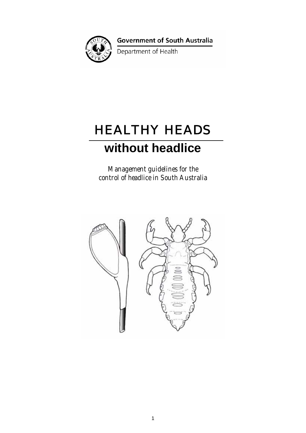

**Government of South Australia** 

Department of Health

# HEALTHY HEADS

## **without headlice**

*Management guidelines for the control of headlice in South Australia*

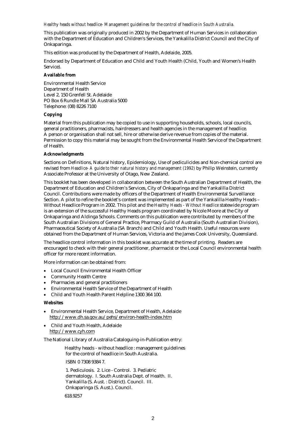#### *Healthy heads without headlice- Management guidelines for the control of headlice in South Australia.*

This publication was originally produced in 2002 by the Department of Human Services in collaboration with the Department of Education and Children's Services, the Yankalilla District Council and the City of Onkaparinga.

This edition was produced by the Department of Health, Adelaide, 2005.

Endorsed by Department of Education and Child and Youth Health (Child, Youth and Women's Health Service).

#### **Available from**

Environmental Health Service Department of Health Level 2, 150 Grenfell St. Adelaide PO Box 6 Rundle Mall SA Australia 5000 Telephone: (08) 8226 7100

#### **Copying**

Material from this publication may be copied to use in supporting households, schools, local councils, general practitioners, pharmacists, hairdressers and health agencies in the management of headlice. A person or organisation shall not sell, hire or otherwise derive revenue from copies of the material. Permission to copy this material may be sought from the Environmental Health Service of the Department of Health.

#### **Acknowledgments**

Sections on Definitions, Natural history, Epidemiology, Use of pediculicides and Non-chemical control are revised from *Headlice- A guide to their natural history and management (1992)* by Philip Weinstein, currently Associate Professor at the University of Otago, New Zealand.

This booklet has been developed in collaboration between the South Australian Department of Health, the Department of Education and Children's Services, City of Onkaparinga and the Yankalilla District Council. Contributions were made by officers of the Department of Health Environmental Surveillance Section. A pilot to refine the booklet's content was implemented as part of the Yankalilla Healthy Heads – Without Headlice Program in 2002. This pilot and the *Healthy Heads - Without Headlice* statewide program is an extension of the successful Healthy Heads program coordinated by Nicole Moore at the City of Onkaparinga and Aldinga Schools. Comments on this publication were contributed by members of the South Australian Divisions of General Practice, Pharmacy Guild of Australia (South Australian Division), Pharmaceutical Society of Australia (SA Branch) and Child and Youth Health. Useful resources were obtained from the Department of Human Services, Victoria and the James Cook University, Queensland.

The headlice control information in this booklet was accurate at the time of printing. Readers are encouraged to check with their general practitioner, pharmacist or the Local Council environmental health officer for more recent information.

More information can be obtained from:

- Local Council Environmental Health Officer
- Community Health Centre
- Pharmacies and general practitioners
- Environmental Health Service of the Department of Health
- Child and Youth Health Parent Helpline 1300 364 100.

#### **Websites**

- Environmental Health Service, Department of Health, Adelaide http://www.dh.sa.gov.au/pehs/environ-health-index.htm
- Child and Youth Health, Adelaide http://www.cyh.com

The National Library of Australia Cataloguing-in-Publication entry:

 Healthy heads - without headlice : management guidelines for the control of headlice in South Australia. ISBN 0 7308 9384 7.

 1. Pediculosis. 2. Lice - Control. 3. Pediatric dermatology. I. South Australia Dept. of Health. II. Yankalilla (S. Aust. : District). Council. III. Onkaparinga (S. Aust.). Council.

618.9257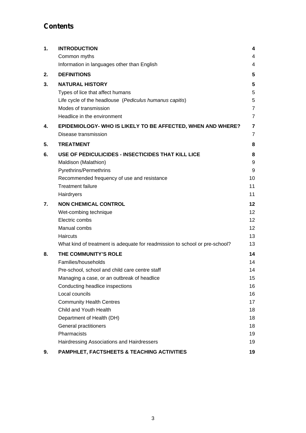### **Contents**

| 1. | <b>INTRODUCTION</b>                                                         | 4               |
|----|-----------------------------------------------------------------------------|-----------------|
|    | Common myths                                                                | 4               |
|    | Information in languages other than English                                 | 4               |
| 2. | <b>DEFINITIONS</b>                                                          | 5               |
| 3. | <b>NATURAL HISTORY</b>                                                      | 5               |
|    | Types of lice that affect humans                                            | 5               |
|    | Life cycle of the headlouse (Pediculus humanus capitis)                     | 5               |
|    | Modes of transmission                                                       | $\overline{7}$  |
|    | Headlice in the environment                                                 | $\overline{7}$  |
| 4. | EPIDEMIOLOGY- WHO IS LIKELY TO BE AFFECTED, WHEN AND WHERE?                 | $\overline{7}$  |
|    | Disease transmission                                                        | $\overline{7}$  |
| 5. | <b>TREATMENT</b>                                                            | 8               |
| 6. | USE OF PEDICULICIDES - INSECTICIDES THAT KILL LICE                          | 8               |
|    | Maldison (Malathion)                                                        | 9               |
|    | Pyrethrins/Permethrins                                                      | 9               |
|    | Recommended frequency of use and resistance                                 | 10              |
|    | <b>Treatment failure</b>                                                    | 11              |
|    | Hairdryers                                                                  | 11              |
| 7. | <b>NON CHEMICAL CONTROL</b>                                                 | $12 \,$         |
|    | Wet-combing technique                                                       | 12 <sup>2</sup> |
|    | Electric combs                                                              | 12 <sup>2</sup> |
|    | Manual combs                                                                | 12              |
|    | Haircuts                                                                    | 13              |
|    | What kind of treatment is adequate for readmission to school or pre-school? | 13              |
| 8. | THE COMMUNITY'S ROLE                                                        | 14              |
|    | Families/households                                                         | 14              |
|    | Pre-school, school and child care centre staff                              | 14              |
|    | Managing a case, or an outbreak of headlice                                 | 15              |
|    | Conducting headlice inspections                                             | 16              |
|    | Local councils                                                              | 16              |
|    | <b>Community Health Centres</b>                                             | 17              |
|    | Child and Youth Health                                                      | 18              |
|    | Department of Health (DH)                                                   | 18              |
|    | General practitioners                                                       | 18              |
|    | Pharmacists                                                                 | 19              |
|    | Hairdressing Associations and Hairdressers                                  | 19              |
| 9. | PAMPHLET, FACTSHEETS & TEACHING ACTIVITIES                                  | 19              |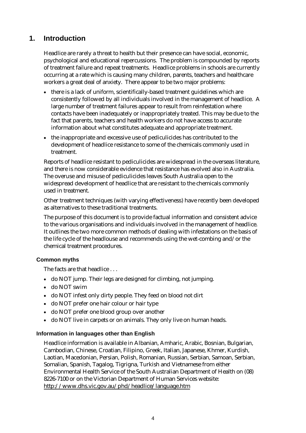### **1. Introduction**

Headlice are rarely a threat to health but their presence can have social, economic, psychological and educational repercussions. The problem is compounded by reports of treatment failure and repeat treatments. Headlice problems in schools are currently occurring at a rate which is causing many children, parents, teachers and healthcare workers a great deal of anxiety. There appear to be two major problems:

- there is a lack of uniform, scientifically-based treatment guidelines which are consistently followed by all individuals involved in the management of headlice. A large number of treatment failures appear to result from reinfestation where contacts have been inadequately or inappropriately treated. This may be due to the fact that parents, teachers and health workers do not have access to accurate information about what constitutes adequate and appropriate treatment.
- the inappropriate and excessive use of pediculicides has contributed to the development of headlice resistance to some of the chemicals commonly used in treatment.

Reports of headlice resistant to pediculicides are widespread in the overseas literature, and there is now considerable evidence that resistance has evolved also in Australia. The overuse and misuse of pediculicides leaves South Australia open to the widespread development of headlice that are resistant to the chemicals commonly used in treatment.

Other treatment techniques (with varying effectiveness) have recently been developed as alternatives to these traditional treatments.

The purpose of this document is to provide factual information and consistent advice to the various organisations and individuals involved in the management of headlice. It outlines the two more common methods of dealing with infestations on the basis of the life cycle of the headlouse and recommends using the wet-combing and/or the chemical treatment procedures.

### **Common myths**

The facts are that headlice . . .

- do NOT jump. Their legs are designed for climbing, not jumping.
- do NOT swim
- do NOT infest only dirty people. They feed on blood not dirt
- do NOT prefer one hair colour or hair type
- do NOT prefer one blood group over another
- do NOT live in carpets or on animals. They only live on human heads.

### **Information in languages other than English**

Headlice information is available in Albanian, Amharic, Arabic, Bosnian, Bulgarian, Cambodian, Chinese, Croatian, Filipino, Greek, Italian, Japanese, Khmer, Kurdish, Laotian, Macedonian, Persian, Polish, Romanian, Russian, Serbian, Samoan, Serbian, Somalian, Spanish, Tagalog, Tigrigna, Turkish and Vietnamese from either Environmental Health Service of the South Australian Department of Health on (08) 8226-7100 or on the Victorian Department of Human Services website: http://www.dhs.vic.gov.au/phd/headlice/language.htm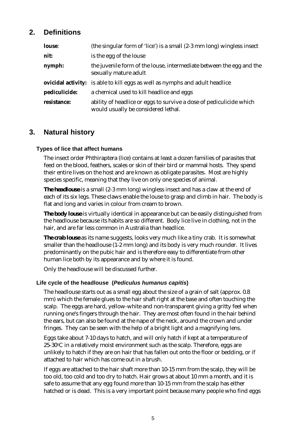### **2. Definitions**

| <b>louse:</b> | (the singular form of 'lice') is a small (2-3 mm long) wingless insect                                     |
|---------------|------------------------------------------------------------------------------------------------------------|
| nit:          | is the egg of the louse                                                                                    |
| nymph:        | the juvenile form of the louse, intermediate between the egg and the<br>sexually mature adult              |
|               | <b>ovicidal activity:</b> is able to kill eggs as well as nymphs and adult headlice                        |
| pediculicide: | a chemical used to kill headlice and eggs                                                                  |
| resistance:   | ability of headlice or eggs to survive a dose of pediculicide which<br>would usually be considered lethal. |

### **3. Natural history**

### **Types of lice that affect humans**

The insect order Phthiraptera (lice) contains at least a dozen families of parasites that feed on the blood, feathers, scales or skin of their bird or mammal hosts. They spend their entire lives on the host and are known as obligate parasites. Most are highly species specific, meaning that they live on only one species of animal.

*The headlouse* is a small (2-3 mm long) wingless insect and has a claw at the end of each of its six legs. These claws enable the louse to grasp and climb in hair. The body is flat and long and varies in colour from cream to brown.

*The body louse* is virtually identical in appearance but can be easily distinguished from the headlouse because its habits are so different. Body lice live in clothing, not in the hair, and are far less common in Australia than headlice.

*The crab louse* as its name suggests, looks very much like a tiny crab. It is somewhat smaller than the headlouse (1-2 mm long) and its body is very much rounder. It lives predominantly on the pubic hair and is therefore easy to differentiate from other human lice both by its appearance and by where it is found.

Only the headlouse will be discussed further.

### **Life cycle of the headlouse (***Pediculus humanus capitis***)**

The headlouse starts out as a small egg about the size of a grain of salt (approx. 0.8 mm) which the female glues to the hair shaft right at the base and often touching the scalp. The eggs are hard, yellow-white and non-transparent giving a gritty feel when running one's fingers through the hair. They are most often found in the hair behind the ears, but can also be found at the nape of the neck, around the crown and under fringes. They can be seen with the help of a bright light and a magnifying lens.

Eggs take about 7-10 days to hatch, and will only hatch if kept at a temperature of 25-30oC in a relatively moist environment such as the scalp. Therefore, eggs are unlikely to hatch if they are on hair that has fallen out onto the floor or bedding, or if attached to hair which has come out in a brush.

If eggs are attached to the hair shaft more than 10-15 mm from the scalp, they will be too old, too cold and too dry to hatch. Hair grows at about 10 mm a month, and it is safe to assume that any egg found more than 10-15 mm from the scalp has either hatched or is dead. This is a very important point because many people who find eggs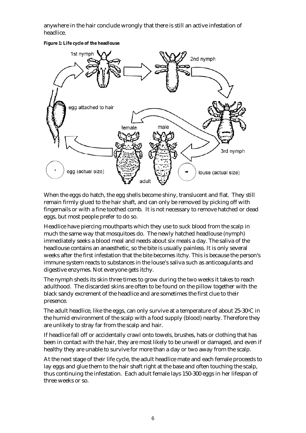anywhere in the hair conclude wrongly that there is still an active infestation of headlice.





When the eggs do hatch, the egg shells become shiny, translucent and flat. They still remain firmly glued to the hair shaft, and can only be removed by picking off with fingernails or with a fine toothed comb. It is not necessary to remove hatched or dead eggs, but most people prefer to do so.

Headlice have piercing mouthparts which they use to suck blood from the scalp in much the same way that mosquitoes do. The newly hatched headlouse (nymph) immediately seeks a blood meal and needs about six meals a day. The saliva of the headlouse contains an anaesthetic, so the bite is usually painless. It is only several weeks after the first infestation that the bite becomes itchy. This is because the person's immune system reacts to substances in the louse's saliva such as anticoagulants and digestive enzymes. Not everyone gets itchy.

The nymph sheds its skin three times to grow during the two weeks it takes to reach adulthood. The discarded skins are often to be found on the pillow together with the black sandy excrement of the headlice and are sometimes the first clue to their presence.

The adult headlice, like the eggs, can only survive at a temperature of about 25-30°C in the humid environment of the scalp with a food supply (blood) nearby. Therefore they are unlikely to stray far from the scalp and hair.

If headlice fall off or accidentally crawl onto towels, brushes, hats or clothing that has been in contact with the hair, they are most likely to be unwell or damaged, and even if healthy they are unable to survive for more than a day or two away from the scalp.

At the next stage of their life cycle, the adult headlice mate and each female proceeds to lay eggs and glue them to the hair shaft right at the base and often touching the scalp, thus continuing the infestation. Each adult female lays 150-300 eggs in her lifespan of three weeks or so.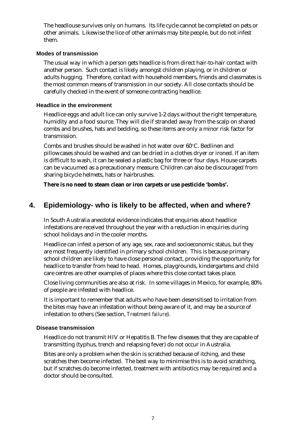The headlouse survives only on humans. Its life cycle cannot be completed on pets or other animals. Likewise the lice of other animals may bite people, but do not infest them.

### **Modes of transmission**

The usual way in which a person gets headlice is from direct hair-to-hair contact with another person. Such contact is likely amongst children playing, or in children or adults hugging. Therefore, contact with household members, friends and classmates is the most common means of transmission in our society. All close contacts should be carefully checked in the event of someone contracting headlice.

#### **Headlice in the environment**

Headlice eggs and adult lice can only survive 1-2 days without the right temperature, humidity and a food source. They will die if stranded away from the scalp on shared combs and brushes, hats and bedding, so these items are only a minor risk factor for transmission.

Combs and brushes should be washed in hot water over 60°C. Bedlinen and pillowcases should be washed and can be dried in a clothes dryer or ironed. If an item is difficult to wash, it can be sealed a plastic bag for three or four days. House carpets can be vacuumed as a precautionary measure. Children can also be discouraged from sharing bicycle helmets, hats or hairbrushes.

**There is no need to steam clean or iron carpets or use pesticide 'bombs'.** 

### **4. Epidemiology- who is likely to be affected, when and where?**

In South Australia anecdotal evidence indicates that enquiries about headlice infestations are received throughout the year with a reduction in enquiries during school holidays and in the cooler months.

Headlice can infest a person of any age, sex, race and socioeconomic status, but they are most frequently identified in primary school children. This is because primary school children are likely to have close personal contact, providing the opportunity for headlice to transfer from head to head. Homes, playgrounds, kindergartens and child care centres are other examples of places where this close contact takes place.

Close living communities are also at risk. In some villages in Mexico, for example, 80% of people are infested with headlice.

It is important to remember that adults who have been desensitised to irritation from the bites may have an infestation without being aware of it, and may be a source of infestation to others (See section, *Treatment failure*).

#### **Disease transmission**

Headlice do not transmit HIV or Hepatitis B. The few diseases that they are capable of transmitting (typhus, trench and relapsing fever) do not occur in Australia.

Bites are only a problem when the skin is scratched because of itching, and these scratches then become infected. The best way to minimise this is to avoid scratching, but if scratches do become infected, treatment with antibiotics may be required and a doctor should be consulted.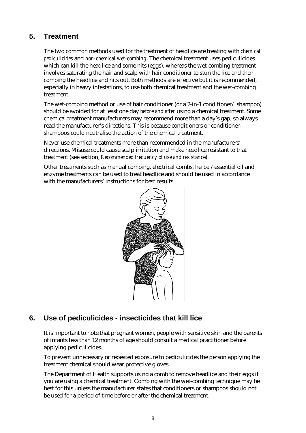### **5. Treatment**

The two common methods used for the treatment of headlice are treating with *chemical pediculicides* and *non-chemical wet-combing*. The chemical treatment uses pediculicides which can kill the headlice and some nits (eggs), whereas the wet-combing treatment involves saturating the hair and scalp with hair conditioner to stun the lice and then combing the headlice and nits out. Both methods are effective but it is recommended, especially in heavy infestations, to use both chemical treatment and the wet-combing treatment.

The wet-combing method or use of hair conditioner (or a 2-in-1 conditioner/ shampoo) should be avoided for at least one day *before and after* using a chemical treatment. Some chemical treatment manufacturers may recommend more than a day's gap, so always read the manufacturer's directions. This is because conditioners or conditionershampoos could neutralise the action of the chemical treatment.

Never use chemical treatments more than recommended in the manufacturers' directions. Misuse could cause scalp irritation and make headlice resistant to that treatment (see section, *Recommended frequency of use and resistance*).

Other treatments such as manual combing, electrical combs, herbal/essential oil and enzyme treatments can be used to treat headlice and should be used in accordance with the manufacturers' instructions for best results.



### **6. Use of pediculicides - insecticides that kill lice**

It is important to note that pregnant women, people with sensitive skin and the parents of infants less than 12 months of age should consult a medical practitioner before applying pediculicides.

To prevent unnecessary or repeated exposure to pediculicides the person applying the treatment chemical should wear protective gloves.

The Department of Health supports using a comb to remove headlice and their eggs if you are using a chemical treatment. Combing with the wet-combing technique may be best for this unless the manufacturer states that conditioners or shampoos should not be used for a period of time before or after the chemical treatment.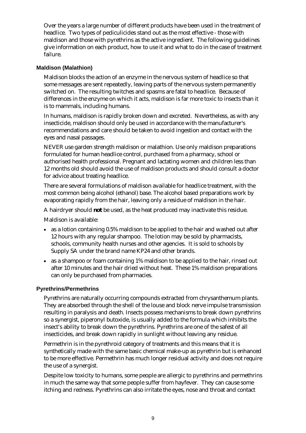Over the years a large number of different products have been used in the treatment of headlice. Two types of pediculicides stand out as the most effective - those with maldison and those with pyrethrins as the active ingredient. The following guidelines give information on each product, how to use it and what to do in the case of treatment failure.

### **Maldison (Malathion)**

Maldison blocks the action of an enzyme in the nervous system of headlice so that some messages are sent repeatedly, leaving parts of the nervous system permanently switched on. The resulting twitches and spasms are fatal to headlice. Because of differences in the enzyme on which it acts, maldison is far more toxic to insects than it is to mammals, including humans.

In humans, maldison is rapidly broken down and excreted. Nevertheless, as with any insecticide, maldison should only be used in accordance with the manufacturer's recommendations and care should be taken to avoid ingestion and contact with the eyes and nasal passages.

NEVER use garden strength maldison or malathion. Use only maldison preparations formulated for human headlice control, purchased from a pharmacy, school or authorised health professional. Pregnant and lactating women and children less than 12 months old should avoid the use of maldison products and should consult a doctor for advice about treating headlice.

There are several formulations of maldison available for headlice treatment, with the most common being alcohol (ethanol) base. The alcohol based preparations work by evaporating rapidly from the hair, leaving only a residue of maldison in the hair.

A hairdryer should *not* be used, as the heat produced may inactivate this residue.

Maldison is available:

- as a lotion containing 0.5% maldison to be applied to the hair and washed out after 12 hours with any regular shampoo. The lotion may be sold by pharmacists, schools, community health nurses and other agencies. It is sold to schools by Supply SA under the brand name KP24 and other brands.
- as a shampoo or foam containing 1% maldison to be applied to the hair, rinsed out after 10 minutes and the hair dried without heat. These 1% maldison preparations can only be purchased from pharmacies.

### **Pyrethrins/Permethrins**

Pyrethrins are naturally occurring compounds extracted from chrysanthemum plants. They are absorbed through the shell of the louse and block nerve impulse transmission resulting in paralysis and death. Insects possess mechanisms to break down pyrethrins so a synergist, piperonyl butoxide, is usually added to the formula which inhibits the insect's ability to break down the pyrethrins. Pyrethrins are one of the safest of all insecticides, and break down rapidly in sunlight without leaving any residue.

Permethrin is in the pyrethroid category of treatments and this means that it is synthetically made with the same basic chemical make-up as pyrethrin but is enhanced to be more effective. Permethrin has much longer residual activity and does not require the use of a synergist.

Despite low toxicity to humans, some people are allergic to pyrethrins and permethrins in much the same way that some people suffer from hayfever. They can cause some itching and redness. Pyrethrins can also irritate the eyes, nose and throat and contact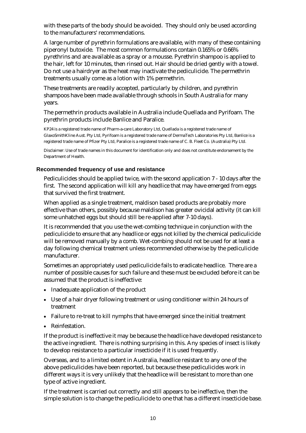with these parts of the body should be avoided. They should only be used according to the manufacturers' recommendations.

A large number of pyrethrin formulations are available, with many of these containing piperonyl butoxide. The most common formulations contain 0.165% or 0.66% pyrethrins and are available as a spray or a mousse. Pyrethrin shampoo is applied to the hair, left for 10 minutes, then rinsed out. Hair should be dried gently with a towel. Do not use a hairdryer as the heat may inactivate the pediculicide. The permethrin treatments usually come as a lotion with 1% permethrin.

These treatments are readily accepted, particularly by children, and pyrethrin shampoos have been made available through schools in South Australia for many years.

The permethrin products available in Australia include Quellada and Pyrifoam. The pyrethrin products include Banlice and Paralice.

KP24 is a registered trade name of Pharm-a-care Laboratory Ltd, Quellada is a registered trade name of GlaxoSmithKline Aust. Pty Ltd, Pyrifoam is a registered trade name of DermaTech Laboratories Pty Ltd, Banlice is a registered trade name of Pfizer Pty Ltd, Paralice is a registered trade name of C. B. Fleet Co. (Australia) Pty Ltd.

Disclaimer: Use of trade names in this document for identification only and does not constitute endorsement by the Department of Health.

### **Recommended frequency of use and resistance**

Pediculicides should be applied twice, with the second application 7 - 10 days after the first. The second application will kill any headlice that may have emerged from eggs that survived the first treatment.

When applied as a single treatment, maldison based products are probably more effective than others, possibly because maldison has greater ovicidal activity (it can kill some unhatched eggs but should still be re-applied after 7-10 days).

It is recommended that you use the wet-combing technique in conjunction with the pediculicide to ensure that any headlice or eggs not killed by the chemical pediculicide will be removed manually by a comb. Wet-combing should not be used for at least a day following chemical treatment unless recommended otherwise by the pediculicide manufacturer.

Sometimes an appropriately used pediculicide fails to eradicate headlice. There are a number of possible causes for such failure and these must be excluded before it can be assumed that the product is ineffective:

- Inadequate application of the product
- Use of a hair dryer following treatment or using conditioner within 24 hours of treatment
- Failure to re-treat to kill nymphs that have emerged since the initial treatment
- Reinfestation.

If the product is ineffective it may be because the headlice have developed resistance to the active ingredient. There is nothing surprising in this. Any species of insect is likely to develop resistance to a particular insecticide if it is used frequently.

Overseas, and to a limited extent in Australia, headlice resistant to any one of the above pediculicides have been reported, but because these pediculicides work in different ways it is very unlikely that the headlice will be resistant to more than one type of active ingredient.

If the treatment is carried out correctly and still appears to be ineffective, then the simple solution is to change the pediculicide to one that has a different insecticide base.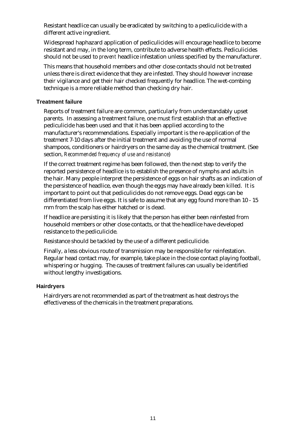Resistant headlice can usually be eradicated by switching to a pediculicide with a different active ingredient.

Widespread haphazard application of pediculicides will encourage headlice to become resistant and may, in the long term, contribute to adverse health effects. Pediculicides should not be used to *prevent* headlice infestation unless specified by the manufacturer.

This means that household members and other close contacts should not be treated unless there is direct evidence that they are infested. They should however increase their vigilance and get their hair checked frequently for headlice. The wet-combing technique is a more reliable method than checking dry hair.

### **Treatment failure**

Reports of treatment failure are common, particularly from understandably upset parents. In assessing a treatment failure, one must first establish that an effective pediculicide has been used and that it has been applied according to the manufacturer's recommendations. Especially important is the re-application of the treatment 7-10 days after the initial treatment and avoiding the use of normal shampoos, conditioners or hairdryers on the same day as the chemical treatment. (See section, *Recommended frequency of use and resistance*)

If the correct treatment regime has been followed, then the next step to verify the reported persistence of headlice is to establish the presence of nymphs and adults in the hair. Many people interpret the persistence of eggs on hair shafts as an indication of the persistence of headlice, even though the eggs may have already been killed. It is important to point out that pediculicides do not remove eggs. Dead eggs can be differentiated from live eggs. It is safe to assume that any egg found more than 10 - 15 mm from the scalp has either hatched or is dead.

If headlice are persisting it is likely that the person has either been reinfested from household members or other close contacts, or that the headlice have developed resistance to the pediculicide.

Resistance should be tackled by the use of a different pediculicide.

Finally, a less obvious route of transmission may be responsible for reinfestation. Regular head contact may, for example, take place in the close contact playing football, whispering or hugging. The causes of treatment failures can usually be identified without lengthy investigations.

### **Hairdryers**

Hairdryers are not recommended as part of the treatment as heat destroys the effectiveness of the chemicals in the treatment preparations.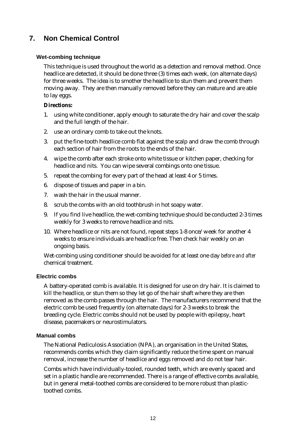### **7. Non Chemical Control**

### **Wet-combing technique**

This technique is used throughout the world as a detection and removal method. Once headlice are detected, it should be done three (3) times each week, (on alternate days) for three weeks. The idea is to smother the headlice to stun them and prevent them moving away. They are then manually removed before they can mature and are able to lay eggs.

### **Directions:**

- 1. using white conditioner, apply enough to saturate the dry hair and cover the scalp and the full length of the hair.
- 2. use an ordinary comb to take out the knots.
- 3. put the fine-tooth headlice comb flat against the scalp and draw the comb through each section of hair from the roots to the ends of the hair.
- 4. wipe the comb after each stroke onto white tissue or kitchen paper, checking for headlice and nits. You can wipe several combings onto one tissue.
- 5. repeat the combing for every part of the head at least 4 or 5 times.
- 6. dispose of tissues and paper in a bin.
- 7. wash the hair in the usual manner.
- 8. scrub the combs with an old toothbrush in hot soapy water.
- 9. If you find live headlice, the wet-combing technique should be conducted 2-3 times weekly for 3 weeks to remove headlice and nits.
- 10. Where headlice or nits are not found, repeat steps 1-8 once/week for another 4 weeks to ensure individuals are headlice free. Then check hair weekly on an ongoing basis.

Wet-combing using conditioner should be avoided for at least one day *before and after* chemical treatment.

### **Electric combs**

A battery-operated comb is available. It is designed for use on dry hair. It is claimed to kill the headlice, or stun them so they let go of the hair shaft where they are then removed as the comb passes through the hair. The manufacturers recommend that the electric comb be used frequently (on alternate days) for 2-3 weeks to break the breeding cycle. Electric combs should not be used by people with epilepsy, heart disease, pacemakers or neurostimulators.

### **Manual combs**

The National Pediculosis Association (NPA), an organisation in the United States, recommends combs which they claim significantly reduce the time spent on manual removal, increase the number of headlice and eggs removed and do not tear hair.

Combs which have individually-tooled, rounded teeth, which are evenly spaced and set in a plastic handle are recommended. There is a range of effective combs available, but in general metal-toothed combs are considered to be more robust than plastictoothed combs.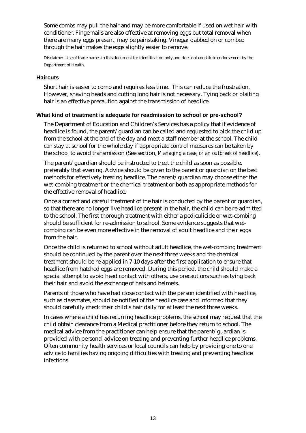Some combs may pull the hair and may be more comfortable if used on wet hair with conditioner. Fingernails are also effective at removing eggs but total removal when there are many eggs present, may be painstaking. Vinegar dabbed on or combed through the hair makes the eggs slightly easier to remove.

Disclaimer: Use of trade names in this document for identification only and does not constitute endorsement by the Department of Health.

#### **Haircuts**

Short hair is easier to comb and requires less time. This can reduce the frustration. However, shaving heads and cutting long hair is not necessary. Tying back or plaiting hair is an effective precaution against the transmission of headlice.

### **What kind of treatment is adequate for readmission to school or pre-school?**

The Department of Education and Children's Services has a policy that if evidence of headlice is found, the parent/guardian can be called and requested to pick the child up from the school at the end of the day and meet a staff member at the school. The child can stay at school for the whole day if appropriate control measures can be taken by the school to avoid transmission (See section, *Managing a case, or an outbreak of headlice*).

The parent/guardian should be instructed to treat the child as soon as possible, preferably that evening. Advice should be given to the parent or guardian on the best methods for effectively treating headlice. The parent/guardian may choose either the wet-combing treatment or the chemical treatment or both as appropriate methods for the effective removal of headlice.

Once a correct and careful treatment of the hair is conducted by the parent or guardian, so that there are no longer live headlice present in the hair, the child can be re-admitted to the school. The first thorough treatment with either a pediculicide or wet-combing should be sufficient for re-admission to school. Some evidence suggests that wetcombing can be even more effective in the removal of adult headlice and their eggs from the hair.

Once the child is returned to school without adult headlice, the wet-combing treatment should be continued by the parent over the next three weeks and the chemical treatment should be re-applied in 7-10 days after the first application to ensure that headlice from hatched eggs are removed. During this period, the child should make a special attempt to avoid head contact with others, use precautions such as tying back their hair and avoid the exchange of hats and helmets.

Parents of those who have had close contact with the person identified with headlice, such as classmates, should be notified of the headlice case and informed that they should carefully check their child's hair daily for at least the next three weeks.

In cases where a child has recurring headlice problems, the school may request that the child obtain clearance from a Medical practitioner before they return to school. The medical advice from the practitioner can help ensure that the parent/guardian is provided with personal advice on treating and preventing further headlice problems. Often community health services or local councils can help by providing one to one advice to families having ongoing difficulties with treating and preventing headlice infections.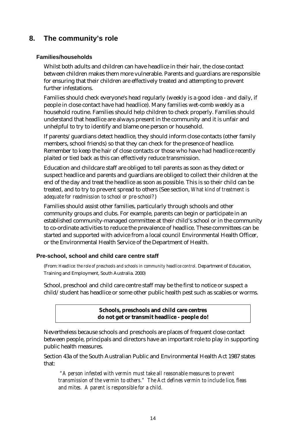### **8. The community's role**

### **Families/households**

Whilst both adults and children can have headlice in their hair, the close contact between children makes them more vulnerable. Parents and guardians are responsible for ensuring that their children are effectively treated and attempting to prevent further infestations.

Families should check everyone's head regularly (weekly is a good idea - and daily, if people in close contact have had headlice). Many families wet-comb weekly as a household routine. Families should help children to check properly. Families should understand that headlice are always present in the community and it is unfair and unhelpful to try to identify and blame one person or household.

If parents/guardians detect headlice, they should inform close contacts (other family members, school friends) so that they can check for the presence of headlice. Remember to keep the hair of close contacts or those who have had headlice recently plaited or tied back as this can effectively reduce transmission.

Education and childcare staff are obliged to tell parents as soon as they detect or suspect headlice and parents and guardians are obliged to collect their children at the end of the day and treat the headlice as soon as possible. This is so their child can be treated, and to try to prevent spread to others (See section, *What kind of treatment is adequate for readmission to school or pre-school?*)

Families should assist other families, particularly through schools and other community groups and clubs. For example, parents can begin or participate in an established community-managed committee at their child's school or in the community to co-ordinate activities to reduce the prevalence of headlice. These committees can be started and supported with advice from a local council Environmental Health Officer, or the Environmental Health Service of the Department of Health.

### **Pre-school, school and child care centre staff**

(From: *Headlice: the role of preschools and schools in community headlice control.* Department of Education, Training and Employment, South Australia. 2000)

School, preschool and child care centre staff may be the first to notice or suspect a child/student has headlice or some other public health pest such as scabies or worms.

> **Schools, preschools and child care centres do not get or transmit headlice - people do!**

Nevertheless because schools and preschools are places of frequent close contact between people, principals and directors have an important role to play in supporting public health measures.

Section 43a of the South Australian Public and Environmental Health Act 1987 states that:

 *"A person infested with vermin must take all reasonable measures to prevent transmission of the vermin to others." The Act defines vermin to include lice, fleas and mites. A parent is responsible for a child.*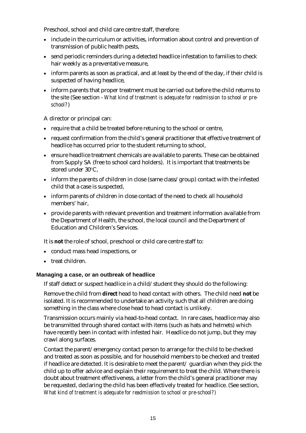Preschool, school and child care centre staff, therefore:

- include in the curriculum or activities, information about control and prevention of transmission of public health pests,
- send periodic reminders during a detected headlice infestation to families to check hair weekly as a preventative measure,
- inform parents as soon as practical, and at least by the end of the day, if their child is suspected of having headlice,
- inform parents that proper treatment must be carried out before the child returns to the site (See section - *What kind of treatment is adequate for readmission to school or preschool?*)

A director or principal can:

- require that a child be treated before retuning to the school or centre,
- request confirmation from the child's general practitioner that effective treatment of headlice has occurred prior to the student returning to school,
- ensure headlice treatment chemicals are available to parents. These can be obtained from Supply SA (free to school card holders). It is important that treatments be stored under 30°C,
- inform the parents of children in close (same class/group) contact with the infested child that a case is suspected,
- inform parents of children in close contact of the need to check all household members' hair,
- provide parents with relevant prevention and treatment information available from the Department of Health, the school, the local council and the Department of Education and Children's Services.

It is **not** the role of school, preschool or child care centre staff to:

- conduct mass head inspections, or
- treat children.

### **Managing a case, or an outbreak of headlice**

If staff detect or suspect headlice in a child/student they should do the following:

Remove the child from **direct** head to head contact with others. The child need **not** be isolated. It is recommended to undertake an activity such that all children are doing something in the class where close head to head contact is unlikely.

Transmission occurs mainly via head-to-head contact. In rare cases, headlice may also be transmitted through shared contact with items (such as hats and helmets) which have recently been in contact with infested hair. Headlice do not jump, but they may crawl along surfaces.

Contact the parent/emergency contact person to arrange for the child to be checked and treated as soon as possible, and for household members to be checked and treated if headlice are detected. It is desirable to meet the parent/ guardian when they pick the child up to offer advice and explain their requirement to treat the child. Where there is doubt about treatment effectiveness, a letter from the child's general practitioner may be requested, declaring the child has been effectively treated for headlice. (See section, *What kind of treatment is adequate for readmission to school or pre-school?)*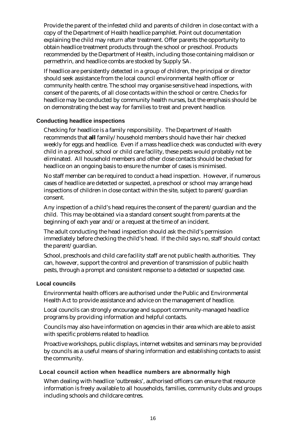Provide the parent of the infested child and parents of children in close contact with a copy of the Department of Health headlice pamphlet. Point out documentation explaining the child may return after treatment. Offer parents the opportunity to obtain headlice treatment products through the school or preschool. Products recommended by the Department of Health, including those containing maldison or permethrin, and headlice combs are stocked by Supply SA.

If headlice are persistently detected in a group of children, the principal or director should seek assistance from the local council environmental health officer or community health centre. The school may organise sensitive head inspections, with consent of the parents, of all close contacts within the school or centre. Checks for headlice may be conducted by community health nurses, but the emphasis should be on demonstrating the best way for families to treat and prevent headlice.

### **Conducting headlice inspections**

Checking for headlice is a family responsibility. The Department of Health recommends that *all* family/household members should have their hair checked weekly for eggs and headlice. Even if a mass headlice check was conducted with every child in a preschool, school or child care facility, these pests would probably not be eliminated. All household members and other close contacts should be checked for headlice on an ongoing basis to ensure the number of cases is minimised.

No staff member can be required to conduct a head inspection. However, if numerous cases of headlice are detected or suspected, a preschool or school may arrange head inspections of children in close contact within the site, subject to parent/guardian consent.

Any inspection of a child's head requires the consent of the parent/guardian and the child. This may be obtained via a standard consent sought from parents at the beginning of each year and/or a request at the time of an incident.

The adult conducting the head inspection should ask the child's permission immediately before checking the child's head. If the child says no, staff should contact the parent/guardian.

School, preschools and child care facility staff are not public health authorities. They can, however, support the control and prevention of transmission of public health pests, through a prompt and consistent response to a detected or suspected case.

### **Local councils**

Environmental health officers are authorised under the Public and Environmental Health Act to provide assistance and advice on the management of headlice.

Local councils can strongly encourage and support community-managed headlice programs by providing information and helpful contacts.

Councils may also have information on agencies in their area which are able to assist with specific problems related to headlice.

Proactive workshops, public displays, internet websites and seminars may be provided by councils as a useful means of sharing information and establishing contacts to assist the community.

### **Local council action when headlice numbers are abnormally high**

When dealing with headlice 'outbreaks', authorised officers can ensure that resource information is freely available to all households, families, community clubs and groups including schools and childcare centres.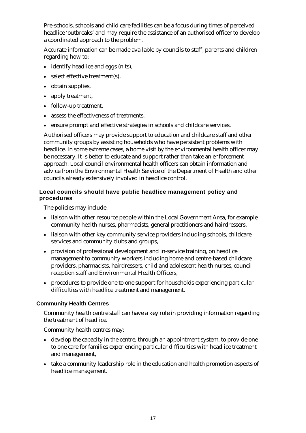Pre-schools, schools and child care facilities can be a focus during times of perceived headlice 'outbreaks' and may require the assistance of an authorised officer to develop a coordinated approach to the problem.

Accurate information can be made available by councils to staff, parents and children regarding how to:

- identify headlice and eggs (nits),
- select effective treatment(s),
- obtain supplies,
- apply treatment,
- follow-up treatment,
- assess the effectiveness of treatments,
- ensure prompt and effective strategies in schools and childcare services.

Authorised officers may provide support to education and childcare staff and other community groups by assisting households who have persistent problems with headlice. In some extreme cases, a home visit by the environmental health officer may be necessary. It is better to educate and support rather than take an enforcement approach. Local council environmental health officers can obtain information and advice from the Environmental Health Service of the Department of Health and other councils already extensively involved in headlice control.

### **Local councils should have public headlice management policy and procedures**

The policies may include:

- liaison with other resource people within the Local Government Area, for example community health nurses, pharmacists, general practitioners and hairdressers,
- liaison with other key community service providers including schools, childcare services and community clubs and groups,
- provision of professional development and in-service training, on headlice management to community workers including home and centre-based childcare providers, pharmacists, hairdressers, child and adolescent health nurses, council reception staff and Environmental Health Officers,
- procedures to provide one to one support for households experiencing particular difficulties with headlice treatment and management.

### **Community Health Centres**

Community health centre staff can have a key role in providing information regarding the treatment of headlice.

Community health centres may:

- develop the capacity in the centre, through an appointment system, to provide one to one care for families experiencing particular difficulties with headlice treatment and management,
- take a community leadership role in the education and health promotion aspects of headlice management.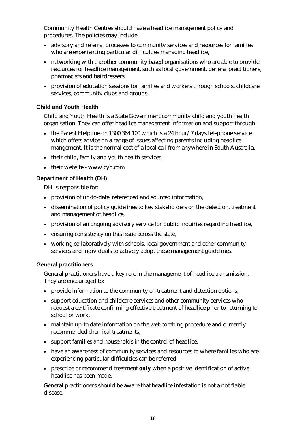Community Health Centres should have a headlice management policy and procedures. The policies may include:

- advisory and referral processes to community services and resources for families who are experiencing particular difficulties managing headlice,
- networking with the other community based organisations who are able to provide resources for headlice management, such as local government, general practitioners, pharmacists and hairdressers,
- provision of education sessions for families and workers through schools, childcare services, community clubs and groups.

### **Child and Youth Health**

Child and Youth Health is a State Government community child and youth health organisation. They can offer headlice management information and support through:

- the Parent Helpline on 1300 364 100 which is a 24 hour/7 days telephone service which offers advice on a range of issues affecting parents including headlice mangement. It is the normal cost of a local call from anywhere in South Australia,
- their child, family and youth health services,
- their website www.cyh.com

### **Department of Health (DH)**

DH is responsible for:

- provision of up-to-date, referenced and sourced information,
- dissemination of policy guidelines to key stakeholders on the detection, treatment and management of headlice,
- provision of an ongoing advisory service for public inquiries regarding headlice,
- ensuring consistency on this issue across the state,
- working collaboratively with schools, local government and other community services and individuals to actively adopt these management guidelines.

### **General practitioners**

General practitioners have a key role in the management of headlice transmission. They are encouraged to:

- provide information to the community on treatment and detection options,
- support education and childcare services and other community services who request a certificate confirming effective treatment of headlice prior to returning to school or work,
- maintain up-to date information on the wet-combing procedure and currently recommended chemical treatments,
- support families and households in the control of headlice,
- have an awareness of community services and resources to where families who are experiencing particular difficulties can be referred,
- prescribe or recommend treatment **only** when a positive identification of active headlice has been made.

General practitioners should be aware that headlice infestation is not a notifiable disease.